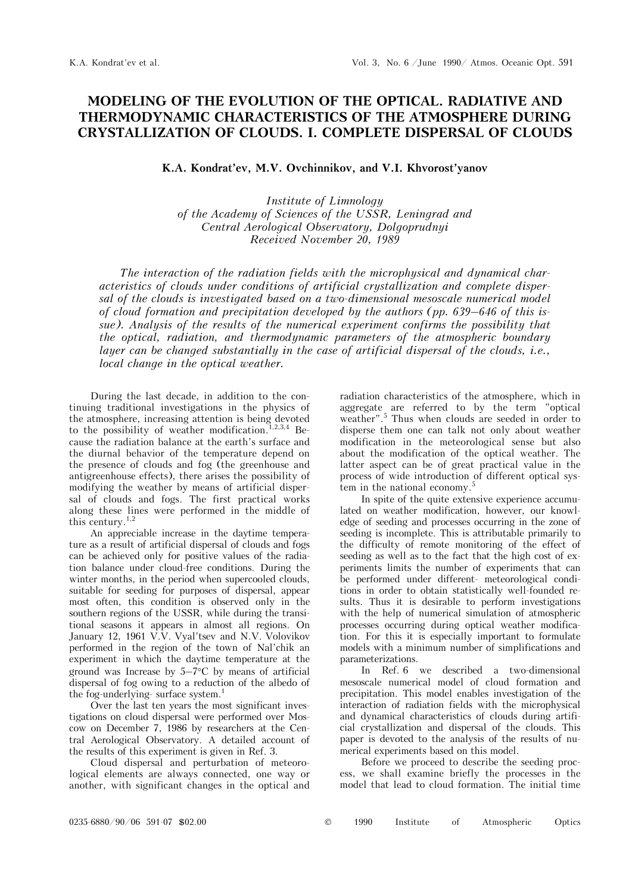## **MODELING OF THE EVOLUTION OF THE OPTICAL. RADIATIVE AND THERMODYNAMIC CHARACTERISTICS OF THE ATMOSPHERE DURING CRYSTALLIZATION OF CLOUDS. I. COMPLETE DISPERSAL OF CLOUDS**

## K.A. Kondrat'ev, M.V. Ovchinnikov, and V.I. Khvorost'yanov

*Institute of Limnology of the Academy of Sciences of the USSR, Leningrad and Central Aerological Observatory, Dolgoprudnyi Received November 20, 1989* 

*The interaction of the radiation fields with the microphysical and dynamical characteristics of clouds under conditions of artificial crystallization and complete dispersal of the clouds is investigated based on a two-dimensional mesoscale numerical model of cloud formation and precipitation developed by the authors (pp. 639–646 of this issue). Analysis of the results of the numerical experiment confirms the possibility that the optical, radiation, and thermodynamic parameters of the atmospheric boundary layer can be changed substantially in the case of artificial dispersal of the clouds, i.e., local change in the optical weather.* 

During the last decade, in addition to the continuing traditional investigations in the physics of the atmosphere, increasing attention is being devoted to the possibility of weather modification.<sup>1,2,3,4</sup> Because the radiation balance at the earth's surface and the diurnal behavior of the temperature depend on the presence of clouds and fog (the greenhouse and antigreenhouse effects), there arises the possibility of modifying the weather by means of artificial dispersal of clouds and fogs. The first practical works along these lines were performed in the middle of this century.1,2

An appreciable increase in the daytime temperature as a result of artificial dispersal of clouds and fogs can be achieved only for positive values of the radiation balance under cloud-free conditions. During the winter months, in the period when supercooled clouds, suitable for seeding for purposes of dispersal, appear most often, this condition is observed only in the southern regions of the USSR, while during the transitional seasons it appears in almost all regions. On January 12, 1961 V.V. Vyal'tsev and N.V. Volovikov performed in the region of the town of Nal'chik an experiment in which the daytime temperature at the ground was Increase by  $5-7$ °C by means of artificial dispersal of fog owing to a reduction of the albedo of the fog-underlying- surface system.<sup>1</sup>

Over the last ten years the most significant investigations on cloud dispersal were performed over Moscow on December 7, 1986 by researchers at the Central Aerological Observatory. A detailed account of the results of this experiment is given in Ref. 3.

Cloud dispersal and perturbation of meteorological elements are always connected, one way or another, with significant changes in the optical and radiation characteristics of the atmosphere, which in aggregate are referred to by the term "optical weather".<sup>5</sup> Thus when clouds are seeded in order to disperse them one can talk not only about weather modification in the meteorological sense but also about the modification of the optical weather. The latter aspect can be of great practical value in the process of wide introduction of different optical system in the national economy.<sup>5</sup>

In spite of the quite extensive experience accumulated on weather modification, however, our knowledge of seeding and processes occurring in the zone of seeding is incomplete. This is attributable primarily to the difficulty of remote monitoring of the effect of seeding as well as to the fact that the high cost of experiments limits the number of experiments that can be performed under different- meteorological conditions in order to obtain statistically well-founded results. Thus it is desirable to perform investigations with the help of numerical simulation of atmospheric processes occurring during optical weather modification. For this it is especially important to formulate models with a minimum number of simplifications and parameterizations.

In Ref. 6 we described a two-dimensional mesoscale numerical model of cloud formation and precipitation. This model enables investigation of the interaction of radiation fields with the microphysical and dynamical characteristics of clouds during artificial crystallization and dispersal of the clouds. This paper is devoted to the analysis of the results of numerical experiments based on this model.

Before we proceed to describe the seeding process, we shall examine briefly the processes in the model that lead to cloud formation. The initial time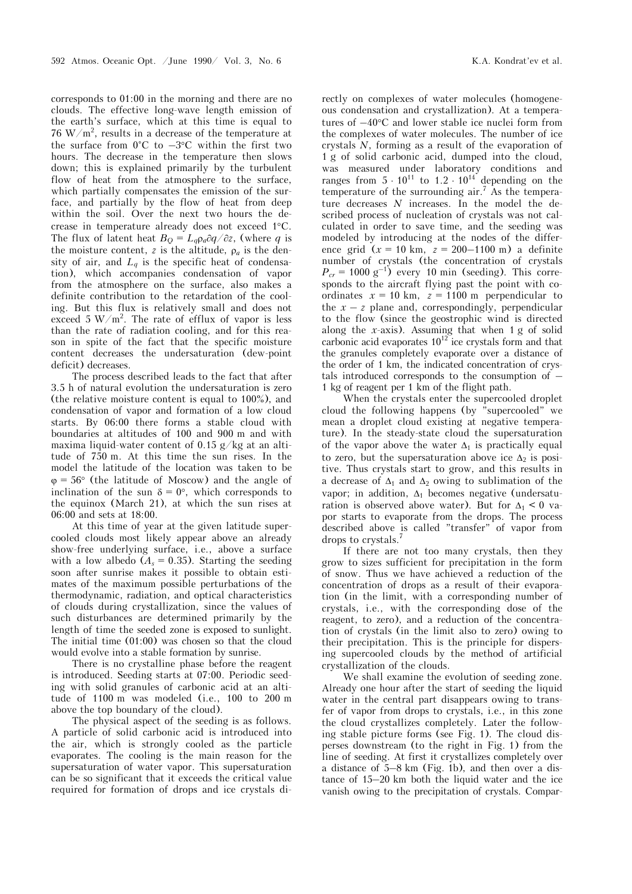corresponds to 01:00 in the morning and there are no clouds. The effective long-wave length emission of the earth's surface, which at this time is equal to 76 W/m<sup>2</sup>, results in a decrease of the temperature at the surface from  $0^{\circ}$ C to  $-3^{\circ}$ C within the first two hours. The decrease in the temperature then slows down; this is explained primarily by the turbulent flow of heat from the atmosphere to the surface, which partially compensates the emission of the surface, and partially by the flow of heat from deep within the soil. Over the next two hours the decrease in temperature already does not exceed 1°C. The flux of latent heat  $B_{\text{Q}} = L_q \rho_q \partial q / \partial z$ , (where *q* is the moisture content,  $z$  is the altitude,  $\rho_a$  is the density of air, and  $L_q$  is the specific heat of condensation), which accompanies condensation of vapor from the atmosphere on the surface, also makes a definite contribution to the retardation of the cooling. But this flux is relatively small and does not exceed  $5 \text{ W/m}^2$ . The rate of efflux of vapor is less than the rate of radiation cooling, and for this reason in spite of the fact that the specific moisture content decreases the undersaturation (dew-point deficit) decreases.

The process described leads to the fact that after 3.5 h of natural evolution the undersaturation is zero (the relative moisture content is equal to 100%), and condensation of vapor and formation of a low cloud starts. By 06:00 there forms a stable cloud with boundaries at altitudes of 100 and 900 m and with maxima liquid-water content of  $0.15$  g/kg at an altitude of 750 m. At this time the sun rises. In the model the latitude of the location was taken to be  $\varphi = 56^{\circ}$  (the latitude of Moscow) and the angle of inclination of the sun  $\delta = 0^{\circ}$ , which corresponds to the equinox (March 21), at which the sun rises at 06:00 and sets at 18:00.

At this time of year at the given latitude supercooled clouds most likely appear above an already show-free underlying surface, i.e., above a surface with a low albedo  $(A_s = 0.35)$ . Starting the seeding soon after sunrise makes it possible to obtain estimates of the maximum possible perturbations of the thermodynamic, radiation, and optical characteristics of clouds during crystallization, since the values of such disturbances are determined primarily by the length of time the seeded zone is exposed to sunlight. The initial time (01:00) was chosen so that the cloud would evolve into a stable formation by sunrise.

There is no crystalline phase before the reagent is introduced. Seeding starts at 07:00. Periodic seeding with solid granules of carbonic acid at an altitude of 1100 m was modeled (i.e., 100 to 200 m above the top boundary of the cloud).

The physical aspect of the seeding is as follows. A particle of solid carbonic acid is introduced into the air, which is strongly cooled as the particle evaporates. The cooling is the main reason for the supersaturation of water vapor. This supersaturation can be so significant that it exceeds the critical value required for formation of drops and ice crystals di-

rectly on complexes of water molecules (homogeneous condensation and crystallization). At a temperatures of  $-40^{\circ}$ C and lower stable ice nuclei form from the complexes of water molecules. The number of ice crystals *N*, forming as a result of the evaporation of 1 g of solid carbonic acid, dumped into the cloud, was measured under laboratory conditions and ranges from  $5 \cdot 10^{11}$  to  $1.2 \cdot 10^{14}$  depending on the temperature of the surrounding  $air<sup>7</sup>$ . As the temperature decreases *N* increases. In the model the described process of nucleation of crystals was not calculated in order to save time, and the seeding was modeled by introducing at the nodes of the difference grid  $(x = 10 \text{ km}, z = 200-1100 \text{ m})$  a definite number of crystals (the concentration of crystals  $P_{cr}$  = 1000 g<sup>-1</sup>) every 10 min (seeding). This corresponds to the aircraft flying past the point with coordinates  $x = 10 \text{ km}$ ,  $z = 1100 \text{ m}$  perpendicular to the  $x - z$  plane and, correspondingly, perpendicular to the flow (since the geostrophic wind is directed along the *x*-axis). Assuming that when 1 g of solid carbonic acid evaporates  $10^{12}$  ice crystals form and that the granules completely evaporate over a distance of the order of 1 km, the indicated concentration of crystals introduced corresponds to the consumption of – 1 kg of reagent per 1 km of the flight path.

When the crystals enter the supercooled droplet cloud the following happens (by "supercooled" we mean a droplet cloud existing at negative temperature). In the steady-state cloud the supersaturation of the vapor above the water  $\Delta_1$  is practically equal to zero, but the supersaturation above ice  $\Delta_2$  is positive. Thus crystals start to grow, and this results in a decrease of  $\Delta_1$  and  $\Delta_2$  owing to sublimation of the vapor; in addition,  $\Delta_1$  becomes negative (undersaturation is observed above water). But for  $\Delta_1$  < 0 vapor starts to evaporate from the drops. The process described above is called "transfer" of vapor from drops to crystals.7

If there are not too many crystals, then they grow to sizes sufficient for precipitation in the form of snow. Thus we have achieved a reduction of the concentration of drops as a result of their evaporation (in the limit, with a corresponding number of crystals, i.e., with the corresponding dose of the reagent, to zero), and a reduction of the concentration of crystals (in the limit also to zero) owing to their precipitation. This is the principle for dispersing supercooled clouds by the method of artificial crystallization of the clouds.

We shall examine the evolution of seeding zone. Already one hour after the start of seeding the liquid water in the central part disappears owing to transfer of vapor from drops to crystals, i.e., in this zone the cloud crystallizes completely. Later the following stable picture forms (see Fig. 1). The cloud disperses downstream (to the right in Fig. 1) from the line of seeding. At first it crystallizes completely over a distance of 5–8 km (Fig. 1b), and then over a distance of 15–20 km both the liquid water and the ice vanish owing to the precipitation of crystals. Compar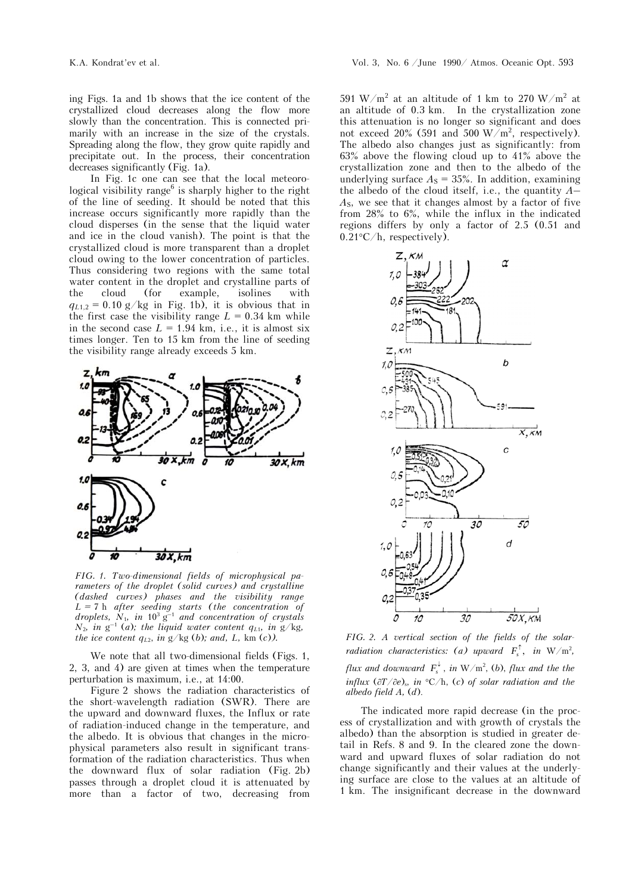ing Figs. 1a and 1b shows that the ice content of the crystallized cloud decreases along the flow more slowly than the concentration. This is connected primarily with an increase in the size of the crystals. Spreading along the flow, they grow quite rapidly and precipitate out. In the process, their concentration decreases significantly (Fig. 1a).

In Fig. 1c one can see that the local meteorological visibility range<sup>6</sup> is sharply higher to the right of the line of seeding. It should be noted that this increase occurs significantly more rapidly than the cloud disperses (in the sense that the liquid water and ice in the cloud vanish). The point is that the crystallized cloud is more transparent than a droplet cloud owing to the lower concentration of particles. Thus considering two regions with the same total water content in the droplet and crystalline parts of the cloud (for example, isolines with  $q_{L1,2} = 0.10$  g/kg in Fig. 1b), it is obvious that in the first case the visibility range  $L = 0.34$  km while in the second case  $L = 1.94$  km, i.e., it is almost six times longer. Ten to 15 km from the line of seeding the visibility range already exceeds 5 km.



*FIG. 1. Two-dimensional fields of microphysical parameters of the droplet (solid curves) and crystalline (dashed curves) phases and the visibility range L =* 7 h *after seeding starts (the concentration of*  droplets,  $N_1$ , in  $10^3$  g<sup>-1</sup> and concentration of crystals  $N_2$ *, in* g<sup>-1</sup> (*a*)*; the liquid water content q<sub>L1</sub>, in g/kg<sub><i>,*</sub> *the ice content*  $q_{L2}$ *, in g/kg (b); and, L, km (c)).* 

We note that all two-dimensional fields (Figs. 1, 2, 3, and 4) are given at times when the temperature perturbation is maximum, i.e., at 14:00.

Figure 2 shows the radiation characteristics of the short-wavelength radiation (SWR). There are the upward and downward fluxes, the Influx or rate of radiation-induced change in the temperature, and the albedo. It is obvious that changes in the microphysical parameters also result in significant transformation of the radiation characteristics. Thus when the downward flux of solar radiation (Fig. 2b) passes through a droplet cloud it is attenuated by more than a factor of two, decreasing from

591 W/m<sup>2</sup> at an altitude of 1 km to 270 W/m<sup>2</sup> at an altitude of 0.3 km. In the crystallization zone this attenuation is no longer so significant and does not exceed 20% (591 and 500 W/m<sup>2</sup>, respectively). The albedo also changes just as significantly: from 63% above the flowing cloud up to 41% above the crystallization zone and then to the albedo of the underlying surface  $A<sub>S</sub> = 35%$ . In addition, examining the albedo of the cloud itself, i.e., the quantity *A*– *A*S, we see that it changes almost by a factor of five from 28% to 6%, while the influx in the indicated regions differs by only a factor of 2.5 (0.51 and  $0.21^{\circ}$ C/h, respectively).



*FIG. 2. A vertical section of the fields of the solarradiation characteristics: (a) upward*  $F_s^{\uparrow}$ , *in* W/m<sup>2</sup>, *flux and downward*  $F_s^{\downarrow}$ , *in* W/m<sup>2</sup>, (*b*), *flux and the the influx*  $(\partial T/\partial e)$ , *in*  $\partial C/h$ , *(c) of solar radiation and the albedo field A,* (*d*).

The indicated more rapid decrease (in the process of crystallization and with growth of crystals the albedo) than the absorption is studied in greater detail in Refs. 8 and 9. In the cleared zone the downward and upward fluxes of solar radiation do not change significantly and their values at the underlying surface are close to the values at an altitude of 1 km. The insignificant decrease in the downward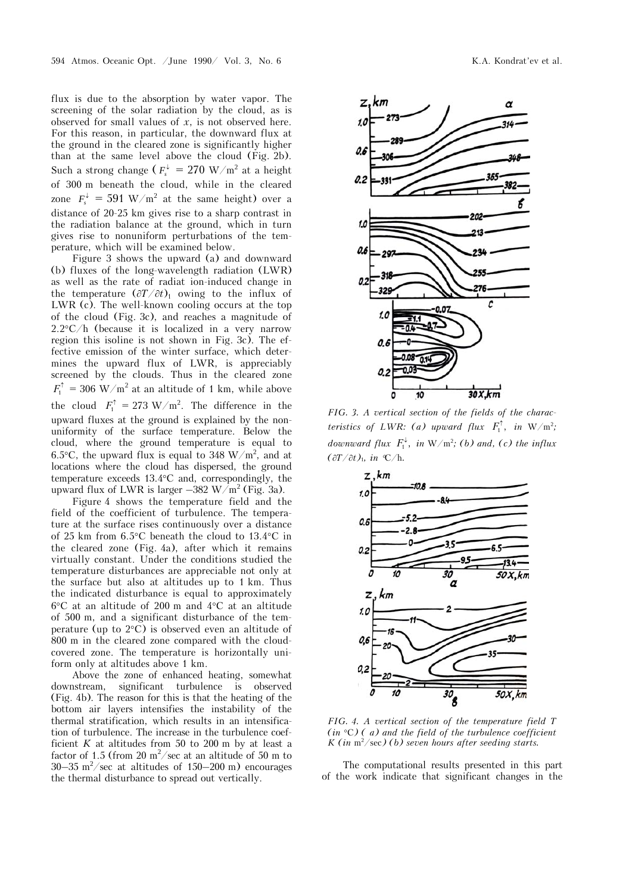flux is due to the absorption by water vapor. The screening of the solar radiation by the cloud, as is observed for small values of *x*, is not observed here. For this reason, in particular, the downward flux at the ground in the cleared zone is significantly higher than at the same level above the cloud (Fig. 2b). Such a strong change ( $F_s^{\downarrow} = 270$  W/m<sup>2</sup> at a height of 300 m beneath the cloud, while in the cleared zone  $F_s^{\downarrow} = 591 \text{ W/m}^2$  at the same height) over a distance of 20-25 km gives rise to a sharp contrast in the radiation balance at the ground, which in turn gives rise to nonuniform perturbations of the temperature, which will be examined below.

Figure 3 shows the upward (a) and downward (b) fluxes of the long-wavelength radiation (LWR) as well as the rate of radiat ion-induced change in the temperature  $(\partial T/\partial t)$ <sub>1</sub> owing to the influx of LWR (c). The well-known cooling occurs at the top of the cloud (Fig. 3c), and reaches a magnitude of  $2.2^{\circ}$ C/h (because it is localized in a very narrow region this isoline is not shown in Fig. 3c). The effective emission of the winter surface, which determines the upward flux of LWR, is appreciably screened by the clouds. Thus in the cleared zone  $F_1^{\uparrow} = 306 \text{ W/m}^2$  at an altitude of 1 km, while above the cloud  $F_1^{\uparrow} = 273 \text{ W/m}^2$ . The difference in the upward fluxes at the ground is explained by the nonuniformity of the surface temperature. Below the cloud, where the ground temperature is equal to 6.5 $\degree$ C, the upward flux is equal to 348 W/m<sup>2</sup>, and at locations where the cloud has dispersed, the ground temperature exceeds  $13.4^{\circ}$ C and, correspondingly, the upward flux of LWR is larger  $-382 \text{ W/m}^2$  (Fig. 3a).

Figure 4 shows the temperature field and the field of the coefficient of turbulence. The temperature at the surface rises continuously over a distance of 25 km from  $6.5^{\circ}$ C beneath the cloud to 13.4 $^{\circ}$ C in the cleared zone (Fig. 4a), after which it remains virtually constant. Under the conditions studied the temperature disturbances are appreciable not only at the surface but also at altitudes up to 1 km. Thus the indicated disturbance is equal to approximately  $6^{\circ}$ C at an altitude of 200 m and  $4^{\circ}$ C at an altitude of 500 m, and a significant disturbance of the temperature (up to  $2^{\circ}$ C) is observed even an altitude of 800 m in the cleared zone compared with the cloudcovered zone. The temperature is horizontally uniform only at altitudes above 1 km.

Above the zone of enhanced heating, somewhat downstream, significant turbulence is observed (Fig. 4b). The reason for this is that the heating of the bottom air layers intensifies the instability of the thermal stratification, which results in an intensification of turbulence. The increase in the turbulence coefficient  $K$  at altitudes from 50 to 200 m by at least a factor of 1.5 (from 20  $m^2$ /sec at an altitude of 50 m to  $30-35$  m<sup>2</sup>/sec at altitudes of 150-200 m) encourages the thermal disturbance to spread out vertically.



*FIG. 3. A vertical section of the fields of the characteristics of LWR: (a) upward flux*  $F_1^{\uparrow}$ , *in* W/m<sup>2</sup>; *downward flux*  $F_1^{\downarrow}$ , in W/m<sup>2</sup>; (b) and, (c) the influx  $($  $\frac{\partial T}{\partial t})_1$ *, in*  $\mathcal{C}/h$ *.* 



*FIG. 4. A vertical section of the temperature field T*   $(in \degree C)$  (a) and the field of the turbulence coefficient *K* (in  $m^2$ /sec) (b) seven hours after seeding starts.

The computational results presented in this part of the work indicate that significant changes in the